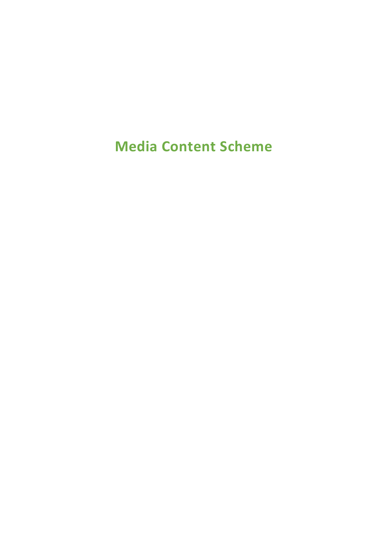**Media Content Scheme**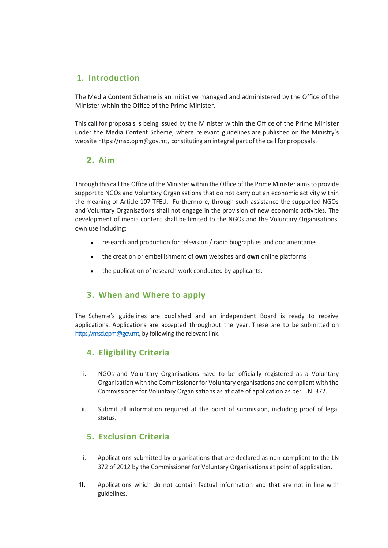# **1. Introduction**

The Media Content Scheme is an initiative managed and administered by the Office of the Minister within the Office of the Prime Minister.

This call for proposals is being issued by the Minister within the Office of the Prime Minister under the Media Content Scheme, where relevant guidelines are published on the Ministry's website https://msd.opm@gov.mt, constituting an integral part of the call for proposals.

# **2. Aim**

Through this call the Office of the Minister within the Office of the Prime Minister aimsto provide support to NGOs and Voluntary Organisations that do not carry out an economic activity within the meaning of Article 107 TFEU. Furthermore, through such assistance the supported NGOs and Voluntary Organisations shall not engage in the provision of new economic activities. The development of media content shall be limited to the NGOs and the Voluntary Organisations' own use including:

- research and production for television / radio biographies and documentaries
- the creation or embellishment of **own** websites and **own** online platforms
- the publication of research work conducted by applicants.

# **3. When and Where to apply**

The Scheme's guidelines are published and an independent Board is ready to receive applications. Applications are accepted throughout the year. These are to be submitted on [https://msd.opm@gov.mt,](https://msd.opm@gov.mt) by following the relevant link.

# **4. Eligibility Criteria**

- i. NGOs and Voluntary Organisations have to be officially registered as a Voluntary Organisation with the Commissioner for Voluntary organisations and compliant with the Commissioner for Voluntary Organisations as at date of application as per L.N. 372.
- ii. Submit all information required at the point of submission, including proof of legal status.

# **5. Exclusion Criteria**

- i. Applications submitted by organisations that are declared as non-compliant to the LN 372 of 2012 by the Commissioner for Voluntary Organisations at point of application.
- ii. Applications which do not contain factual information and that are not in line with guidelines.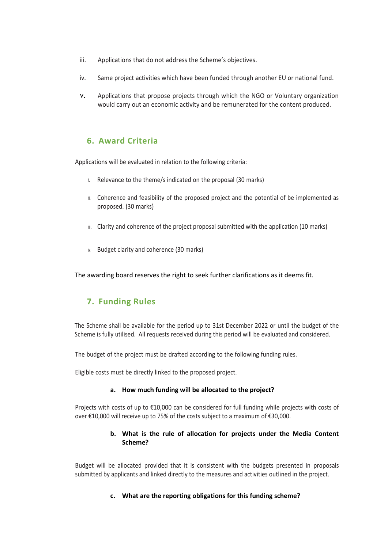- iii. Applications that do not address the Scheme's objectives.
- iv. Same project activities which have been funded through another EU or national fund.
- v. Applications that propose projects through which the NGO or Voluntary organization would carry out an economic activity and be remunerated for the content produced.

## **6. Award Criteria**

Applications will be evaluated in relation to the following criteria:

- i. Relevance to the theme/s indicated on the proposal (30 marks)
- ii. Coherence and feasibility of the proposed project and the potential of be implemented as proposed. (30 marks)
- iii. Clarity and coherence of the project proposal submitted with the application (10 marks)
- iv. Budget clarity and coherence (30 marks)

The awarding board reserves the right to seek further clarifications as it deems fit.

# **7. Funding Rules**

The Scheme shall be available for the period up to 31st December 2022 or until the budget of the Scheme is fully utilised. All requests received during this period will be evaluated and considered.

The budget of the project must be drafted according to the following funding rules.

Eligible costs must be directly linked to the proposed project.

#### **a. How much funding will be allocated to the project?**

Projects with costs of up to €10,000 can be considered for full funding while projects with costs of over €10,000 will receive up to 75% of the costs subject to a maximum of €30,000.

#### **b. What is the rule of allocation for projects under the Media Content Scheme?**

Budget will be allocated provided that it is consistent with the budgets presented in proposals submitted by applicants and linked directly to the measures and activities outlined in the project.

#### **c. What are the reporting obligations for this funding scheme?**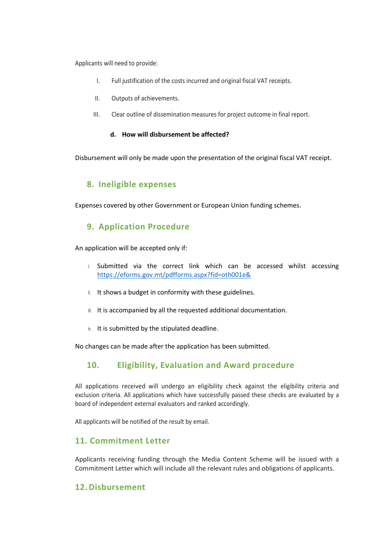Applicants will need to provide:

- I. Full justification of the costs incurred and original fiscal VAT receipts.
- II. Outputs of achievements.
- III. Clear outline of dissemination measures for project outcome in final report.

#### **d. How will disbursement be affected?**

Disbursement will only be made upon the presentation of the original fiscal VAT receipt.

## **8. Ineligible expenses**

Expenses covered by other Government or European Union funding schemes.

## **9. Application Procedure**

An application will be accepted only if:

- i. Submitted via the correct link which can be accessed whilst accessing <https://eforms.gov.mt/pdfforms.aspx?fid=oth001e&>
- ii. It shows a budget in conformity with these guidelines.
- iii. It is accompanied by all the requested additional documentation.
- iv. It is submitted by the stipulated deadline.

No changes can be made after the application has been submitted.

# **10. Eligibility, Evaluation and Award procedure**

All applications received will undergo an eligibility check against the eligibility criteria and exclusion criteria. All applications which have successfully passed these checks are evaluated by a board of independent external evaluators and ranked accordingly.

All applicants will be notified of the result by email.

# **11. Commitment Letter**

Applicants receiving funding through the Media Content Scheme will be issued with a Commitment Letter which will include all the relevant rules and obligations of applicants.

## **12.Disbursement**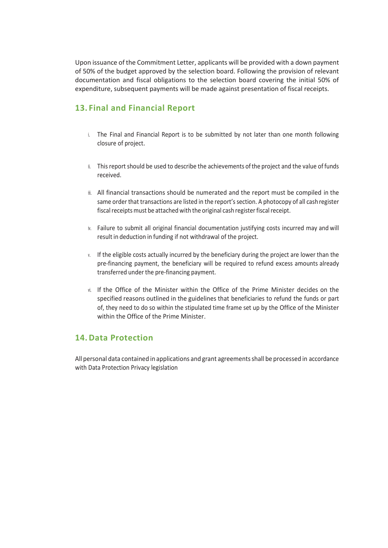Upon issuance of the Commitment Letter, applicants will be provided with a down payment of 50% of the budget approved by the selection board. Following the provision of relevant documentation and fiscal obligations to the selection board covering the initial 50% of expenditure, subsequent payments will be made against presentation of fiscal receipts.

# **13. Final and Financial Report**

- i. The Final and Financial Report is to be submitted by not later than one month following closure of project.
- ii. This report should be used to describe the achievements ofthe project and the value of funds received.
- iii. All financial transactions should be numerated and the report must be compiled in the same order that transactions are listed in the report's section. A photocopy of all cash register fiscal receipts must be attached with the original cash register fiscal receipt.
- iv. Failure to submit all original financial documentation justifying costs incurred may and will result in deduction in funding if not withdrawal of the project.
- v. If the eligible costs actually incurred by the beneficiary during the project are lower than the pre-financing payment, the beneficiary will be required to refund excess amounts already transferred under the pre-financing payment.
- vi. If the Office of the Minister within the Office of the Prime Minister decides on the specified reasons outlined in the guidelines that beneficiaries to refund the funds or part of, they need to do so within the stipulated time frame set up by the Office of the Minister within the Office of the Prime Minister.

## **14.Data Protection**

All personal data contained in applications and grant agreementsshall be processed in accordance with Data Protection Privacy legislation